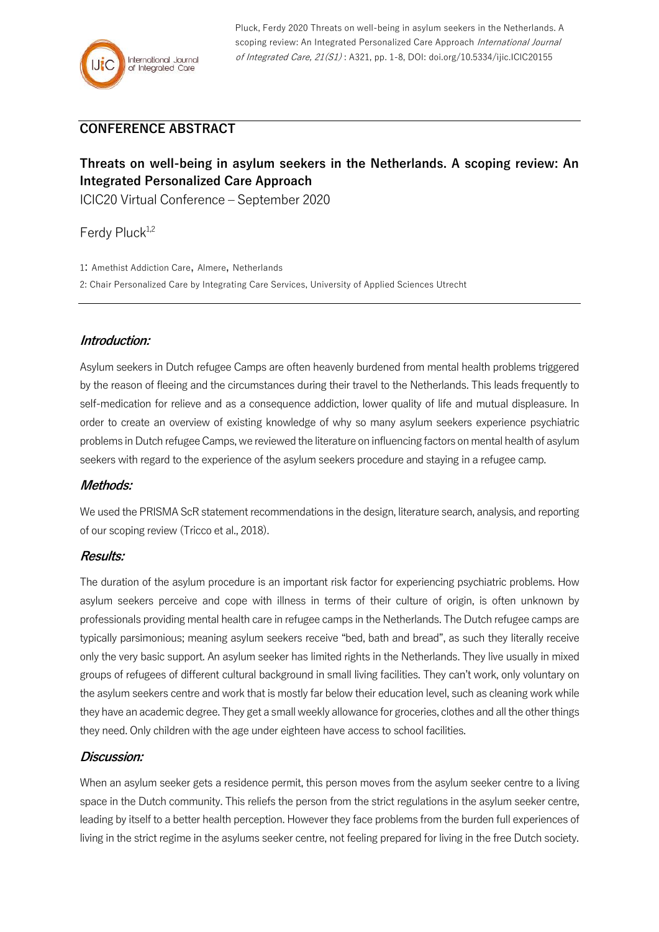Pluck, Ferdy 2020 Threats on well-being in asylum seekers in the Netherlands. A scoping review: An Integrated Personalized Care Approach International Journal of Integrated Care, 21(S1) : A321, pp. 1-8, DOI: doi.org/10.5334/ijic.ICIC20155

# **CONFERENCE ABSTRACT**

# **Threats on well-being in asylum seekers in the Netherlands. A scoping review: An Integrated Personalized Care Approach**

ICIC20 Virtual Conference – September 2020

Ferdy Pluck<sup>1,2</sup>

1: Amethist Addiction Care, Almere, Netherlands

2: Chair Personalized Care by Integrating Care Services, University of Applied Sciences Utrecht

## **Introduction:**

Asylum seekers in Dutch refugee Camps are often heavenly burdened from mental health problems triggered by the reason of fleeing and the circumstances during their travel to the Netherlands. This leads frequently to self-medication for relieve and as a consequence addiction, lower quality of life and mutual displeasure. In order to create an overview of existing knowledge of why so many asylum seekers experience psychiatric problems in Dutch refugee Camps, we reviewed the literature on influencing factors on mental health of asylum seekers with regard to the experience of the asylum seekers procedure and staying in a refugee camp.

#### **Methods:**

We used the PRISMA ScR statement recommendations in the design, literature search, analysis, and reporting of our scoping review (Tricco et al., 2018).

#### **Results:**

The duration of the asylum procedure is an important risk factor for experiencing psychiatric problems. How asylum seekers perceive and cope with illness in terms of their culture of origin, is often unknown by professionals providing mental health care in refugee camps in the Netherlands. The Dutch refugee camps are typically parsimonious; meaning asylum seekers receive "bed, bath and bread", as such they literally receive only the very basic support. An asylum seeker has limited rights in the Netherlands. They live usually in mixed groups of refugees of different cultural background in small living facilities. They can't work, only voluntary on the asylum seekers centre and work that is mostly far below their education level, such as cleaning work while they have an academic degree. They get a small weekly allowance for groceries, clothes and all the other things they need. Only children with the age under eighteen have access to school facilities.

## **Discussion:**

When an asylum seeker gets a residence permit, this person moves from the asylum seeker centre to a living space in the Dutch community. This reliefs the person from the strict regulations in the asylum seeker centre, leading by itself to a better health perception. However they face problems from the burden full experiences of living in the strict regime in the asylums seeker centre, not feeling prepared for living in the free Dutch society.